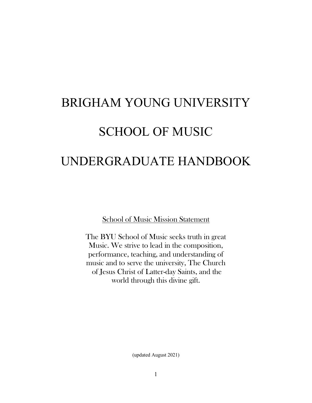# BRIGHAM YOUNG UNIVERSITY SCHOOL OF MUSIC UNDERGRADUATE HANDBOOK

School of Music Mission Statement

The BYU School of Music seeks truth in great Music. We strive to lead in the composition, performance, teaching, and understanding of music and to serve the university, The Church of Jesus Christ of Latter-day Saints, and the world through this divine gift.

(updated August 2021)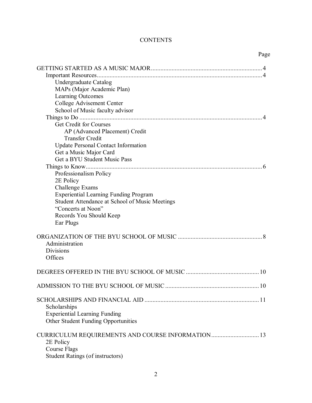#### **CONTENTS**

Page

| Undergraduate Catalog                                                                 |
|---------------------------------------------------------------------------------------|
| MAPs (Major Academic Plan)                                                            |
| Learning Outcomes                                                                     |
| College Advisement Center                                                             |
| School of Music faculty advisor                                                       |
|                                                                                       |
| Get Credit for Courses                                                                |
| AP (Advanced Placement) Credit                                                        |
| <b>Transfer Credit</b>                                                                |
| <b>Update Personal Contact Information</b>                                            |
| Get a Music Major Card                                                                |
| Get a BYU Student Music Pass                                                          |
|                                                                                       |
| Professionalism Policy                                                                |
| 2E Policy                                                                             |
| <b>Challenge Exams</b>                                                                |
| <b>Experiential Learning Funding Program</b>                                          |
| Student Attendance at School of Music Meetings                                        |
| "Concerts at Noon"                                                                    |
| Records You Should Keep                                                               |
| Ear Plugs                                                                             |
|                                                                                       |
| Administration<br><b>Divisions</b><br>Offices                                         |
|                                                                                       |
|                                                                                       |
| Scholarships                                                                          |
| <b>Experiential Learning Funding</b>                                                  |
| Other Student Funding Opportunities                                                   |
| CURRICULUM REQUIREMENTS AND COURSE INFORMATION 13<br>2E Policy<br><b>Course Flags</b> |
| <b>Student Ratings (of instructors)</b>                                               |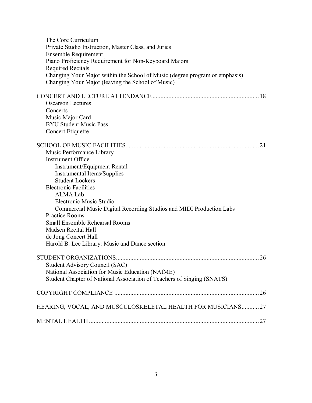| The Core Curriculum<br>Private Studio Instruction, Master Class, and Juries<br><b>Ensemble Requirement</b><br>Piano Proficiency Requirement for Non-Keyboard Majors                                                                                                                                                                                                                                                                                                          |
|------------------------------------------------------------------------------------------------------------------------------------------------------------------------------------------------------------------------------------------------------------------------------------------------------------------------------------------------------------------------------------------------------------------------------------------------------------------------------|
| <b>Required Recitals</b><br>Changing Your Major within the School of Music (degree program or emphasis)<br>Changing Your Major (leaving the School of Music)                                                                                                                                                                                                                                                                                                                 |
| <b>Oscarson Lectures</b><br>Concerts<br>Music Major Card<br><b>BYU Student Music Pass</b><br>Concert Etiquette                                                                                                                                                                                                                                                                                                                                                               |
| Music Performance Library<br><b>Instrument Office</b><br>Instrument/Equipment Rental<br><b>Instrumental Items/Supplies</b><br><b>Student Lockers</b><br><b>Electronic Facilities</b><br><b>ALMA Lab</b><br>Electronic Music Studio<br>Commercial Music Digital Recording Studios and MIDI Production Labs<br><b>Practice Rooms</b><br><b>Small Ensemble Rehearsal Rooms</b><br>Madsen Recital Hall<br>de Jong Concert Hall<br>Harold B. Lee Library: Music and Dance section |
| 26<br>Student Advisory Council (SAC)<br>National Association for Music Education (NAfME)<br>Student Chapter of National Association of Teachers of Singing (SNATS)                                                                                                                                                                                                                                                                                                           |
|                                                                                                                                                                                                                                                                                                                                                                                                                                                                              |
| HEARING, VOCAL, AND MUSCULOSKELETAL HEALTH FOR MUSICIANS 27                                                                                                                                                                                                                                                                                                                                                                                                                  |
|                                                                                                                                                                                                                                                                                                                                                                                                                                                                              |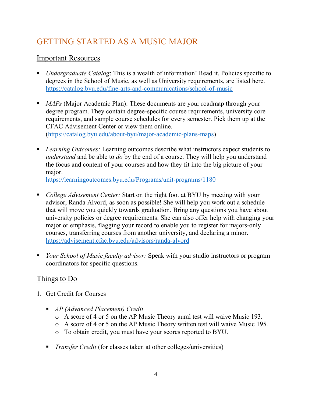# GETTING STARTED AS A MUSIC MAJOR

### Important Resources

- *Undergraduate Catalog*: This is a wealth of information! Read it. Policies specific to degrees in the School of Music, as well as University requirements, are listed here. <https://catalog.byu.edu/fine-arts-and-communications/school-of-music>
- **MAPs** (Major Academic Plan): These documents are your roadmap through your degree program. They contain degree-specific course requirements, university core requirements, and sample course schedules for every semester. Pick them up at the CFAC Advisement Center or view them online. [\(https://catalog.byu.edu/about-byu/major-academic-plans-maps\)](https://catalog.byu.edu/about-byu/major-academic-plans-maps)
- *Learning Outcomes:* Learning outcomes describe what instructors expect students to *understand* and be able to *do* by the end of a course. They will help you understand the focus and content of your courses and how they fit into the big picture of your major.

[https://learningoutcomes.byu.edu/P](https://learningoutcomes.byu.edu/)rograms/unit-programs/1180

- *College Advisement Center:* Start on the right foot at BYU by meeting with your advisor, Randa Alvord, as soon as possible! She will help you work out a schedule that will move you quickly towards graduation. Bring any questions you have about university policies or degree requirements. She can also offer help with changing your major or emphasis, flagging your record to enable you to register for majors-only courses, transferring courses from another university, and declaring a minor. [https://advisement.cfac.byu.edu/advisors/randa-alvord](https://advisement.cfac.byu.edu/advisors/randa-alvord/)
- *Your School of Music faculty advisor:* Speak with your studio instructors or program coordinators for specific questions.

### Things to Do

- 1. Get Credit for Courses
	- *AP (Advanced Placement) Credit*
		- o A score of 4 or 5 on the AP Music Theory aural test will waive Music 193.
		- o A score of 4 or 5 on the AP Music Theory written test will waive Music 195.
		- o To obtain credit, you must have your scores reported to BYU.
	- *Transfer Credit* (for classes taken at other colleges/universities)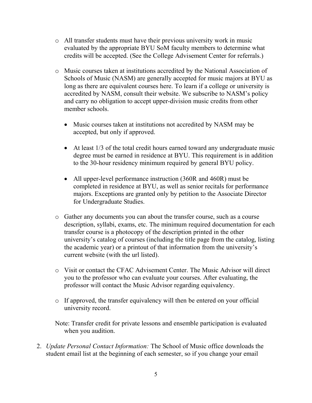- o All transfer students must have their previous university work in music evaluated by the appropriate BYU SoM faculty members to determine what credits will be accepted. (See the College Advisement Center for referrals.)
- o Music courses taken at institutions accredited by the National Association of Schools of Music (NASM) are generally accepted for music majors at BYU as long as there are equivalent courses here. To learn if a college or university is accredited by NASM, consult their website. We subscribe to NASM's policy and carry no obligation to accept upper-division music credits from other member schools.
	- Music courses taken at institutions not accredited by NASM may be accepted, but only if approved.
	- At least 1/3 of the total credit hours earned toward any undergraduate music degree must be earned in residence at BYU. This requirement is in addition to the 30-hour residency minimum required by general BYU policy.
	- All upper-level performance instruction (360R and 460R) must be completed in residence at BYU, as well as senior recitals for performance majors. Exceptions are granted only by petition to the Associate Director for Undergraduate Studies.
- o Gather any documents you can about the transfer course, such as a course description, syllabi, exams, etc. The minimum required documentation for each transfer course is a photocopy of the description printed in the other university's catalog of courses (including the title page from the catalog, listing the academic year) or a printout of that information from the university's current website (with the url listed).
- o Visit or contact the CFAC Advisement Center. The Music Advisor will direct you to the professor who can evaluate your courses. After evaluating, the professor will contact the Music Advisor regarding equivalency.
- o If approved, the transfer equivalency will then be entered on your official university record.

Note: Transfer credit for private lessons and ensemble participation is evaluated when you audition.

2. *Update Personal Contact Information:* The School of Music office downloads the student email list at the beginning of each semester, so if you change your email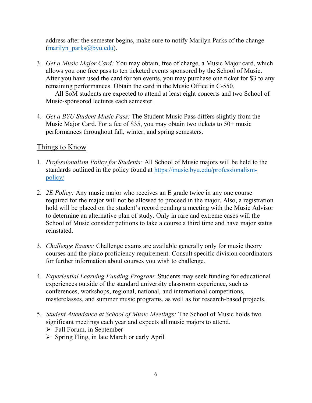address after the semester begins, make sure to notify Marilyn Parks of the change  $(\text{marilyn} \text{ parks@byu.edu}).$ 

3. *Get a Music Major Card:* You may obtain, free of charge, a Music Major card, which allows you one free pass to ten ticketed events sponsored by the School of Music. After you have used the card for ten events, you may purchase one ticket for \$3 to any remaining performances. Obtain the card in the Music Office in C-550.

All SoM students are expected to attend at least eight concerts and two School of Music-sponsored lectures each semester.

4. *Get a BYU Student Music Pass:* The Student Music Pass differs slightly from the Music Major Card. For a fee of \$35, you may obtain two tickets to 50+ music performances throughout fall, winter, and spring semesters.

### Things to Know

- 1. *Professionalism Policy for Students:* All School of Music majors will be held to the standards outlined in the policy found at [https://music.byu.edu/professionalism](https://music.byu.edu/professionalism-policy/)[policy/](https://music.byu.edu/professionalism-policy/)
- 2. *2E Policy:* Any music major who receives an E grade twice in any one course required for the major will not be allowed to proceed in the major. Also, a registration hold will be placed on the student's record pending a meeting with the Music Advisor to determine an alternative plan of study. Only in rare and extreme cases will the School of Music consider petitions to take a course a third time and have major status reinstated.
- 3. *Challenge Exams:* Challenge exams are available generally only for music theory courses and the piano proficiency requirement. Consult specific division coordinators for further information about courses you wish to challenge.
- 4. *Experiential Learning Funding Program*: Students may seek funding for educational experiences outside of the standard university classroom experience, such as conferences, workshops, regional, national, and international competitions, masterclasses, and summer music programs, as well as for research-based projects.
- 5. *Student Attendance at School of Music Meetings:* The School of Music holds two significant meetings each year and expects all music majors to attend.
	- $\triangleright$  Fall Forum, in September
	- $\triangleright$  Spring Fling, in late March or early April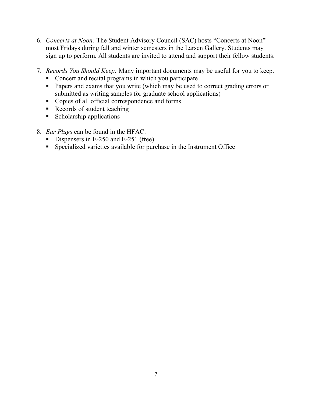- 6. *Concerts at Noon:* The Student Advisory Council (SAC) hosts "Concerts at Noon" most Fridays during fall and winter semesters in the Larsen Gallery. Students may sign up to perform. All students are invited to attend and support their fellow students.
- 7. *Records You Should Keep:* Many important documents may be useful for you to keep.
	- Concert and recital programs in which you participate
	- **Papers and exams that you write (which may be used to correct grading errors or** submitted as writing samples for graduate school applications)
	- Copies of all official correspondence and forms
	- Records of student teaching
	- **Scholarship applications**
- 8. *Ear Plugs* can be found in the HFAC:
	- Dispensers in E-250 and E-251 (free)
	- Specialized varieties available for purchase in the Instrument Office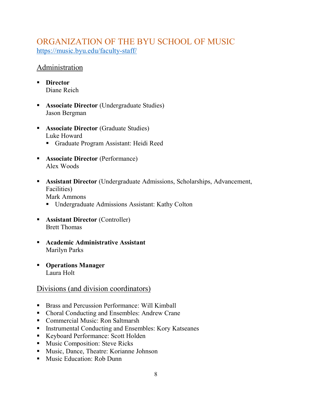### ORGANIZATION OF THE BYU SCHOOL OF MUSIC <https://music.byu.edu/faculty-staff/>

### Administration

- **Director** Diane Reich
- **Associate Director** (Undergraduate Studies) Jason Bergman
- **Associate Director** (Graduate Studies) Luke Howard
	- Graduate Program Assistant: Heidi Reed
- **Associate Director** (Performance) Alex Woods
- **Assistant Director** (Undergraduate Admissions, Scholarships, Advancement, Facilities) Mark Ammons
	- Undergraduate Admissions Assistant: Kathy Colton
- **Assistant Director** (Controller) Brett Thomas
- **Academic Administrative Assistant** Marilyn Parks
- **Operations Manager** Laura Holt

### Divisions (and division coordinators)

- Brass and Percussion Performance: Will Kimball
- Choral Conducting and Ensembles: Andrew Crane
- Commercial Music: Ron Saltmarsh
- **Instrumental Conducting and Ensembles: Kory Katseanes**
- Keyboard Performance: Scott Holden
- **Music Composition: Steve Ricks**
- **Music, Dance, Theatre: Korianne Johnson**
- **Music Education: Rob Dunn**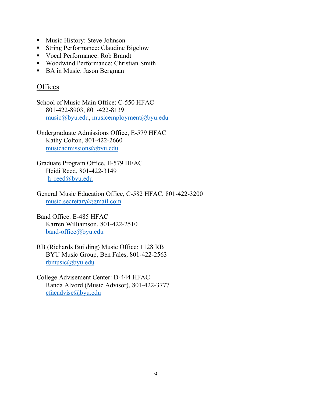- **Music History: Steve Johnson**
- **String Performance: Claudine Bigelow**
- Vocal Performance: Rob Brandt
- Woodwind Performance: Christian Smith
- BA in Music: Jason Bergman

### **Offices**

- School of Music Main Office: C-550 HFAC 801-422-8903, 801-422-8139 [music@byu.edu,](mailto:music@byu.edu) [musicemployment@byu.edu](mailto:musicemployment@byu.edu)
- Undergraduate Admissions Office, E-579 HFAC Kathy Colton, 801-422-2660 [musicadmissions@byu.edu](mailto:musicadmissions@byu.edu)
- Graduate Program Office, E-579 HFAC Heidi Reed, 801-422-3149 h reed@byu.edu
- General Music Education Office, C-582 HFAC, 801-422-3200 [music.secretary@gmail.com](mailto:music.secretary@gmail.com)
- Band Office: E-485 HFAC Karren Williamson, 801-422-2510 [band-office@byu.edu](mailto:band-office@byu.edu)
- RB (Richards Building) Music Office: 1128 RB BYU Music Group, Ben Fales, 801-422-2563 [rbmusic@byu.edu](mailto:rbmusic@byu.edu)
- College Advisement Center: D-444 HFAC Randa Alvord (Music Advisor), 801-422-3777 [cfacadvise@byu.edu](mailto:cfacadvise@byu.edu)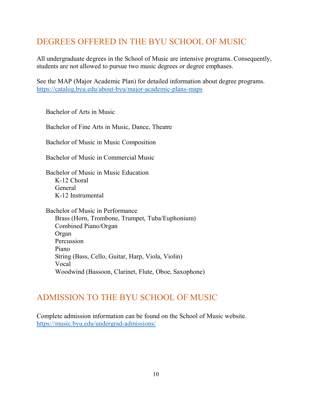# DEGREES OFFERED IN THE BYU SCHOOL OF MUSIC

All undergraduate degrees in the School of Music are intensive programs. Consequently, students are not allowed to pursue two music degrees or degree emphases.

See the MAP (Major Academic Plan) for detailed information about degree programs. <https://catalog.byu.edu/about-byu/major-academic-plans-maps>

Bachelor of Arts in Music

Bachelor of Fine Arts in Music, Dance, Theatre

Bachelor of Music in Music Composition

Bachelor of Music in Commercial Music

Bachelor of Music in Music Education K-12 Choral General K-12 Instrumental

Bachelor of Music in Performance Brass (Horn, Trombone, Trumpet, Tuba/Euphonium) Combined Piano/Organ Organ Percussion Piano String (Bass, Cello, Guitar, Harp, Viola, Violin) Vocal Woodwind (Bassoon, Clarinet, Flute, Oboe, Saxophone)

# ADMISSION TO THE BYU SCHOOL OF MUSIC

Complete admission information can be found on the School of Music website. <https://music.byu.edu/undergrad-admissions/>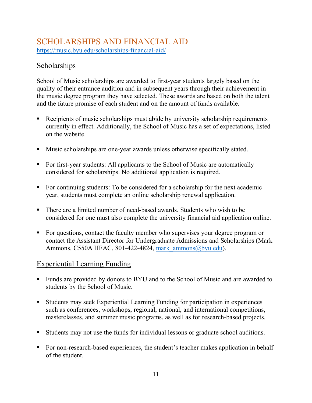### SCHOLARSHIPS AND FINANCIAL AID <https://music.byu.edu/scholarships-financial-aid/>

### Scholarships

School of Music scholarships are awarded to first-year students largely based on the quality of their entrance audition and in subsequent years through their achievement in the music degree program they have selected. These awards are based on both the talent and the future promise of each student and on the amount of funds available.

- Recipients of music scholarships must abide by university scholarship requirements currently in effect. Additionally, the School of Music has a set of expectations, listed on the website.
- Music scholarships are one-year awards unless otherwise specifically stated.
- For first-year students: All applicants to the School of Music are automatically considered for scholarships. No additional application is required.
- For continuing students: To be considered for a scholarship for the next academic year, students must complete an online scholarship renewal application.
- There are a limited number of need-based awards. Students who wish to be considered for one must also complete the university financial aid application online.
- For questions, contact the faculty member who supervises your degree program or contact the Assistant Director for Undergraduate Admissions and Scholarships (Mark Ammons, C550A HFAC, 801-422-4824, mark ammons@byu.edu).

### Experiential Learning Funding

- Funds are provided by donors to BYU and to the School of Music and are awarded to students by the School of Music.
- Students may seek Experiential Learning Funding for participation in experiences such as conferences, workshops, regional, national, and international competitions, masterclasses, and summer music programs, as well as for research-based projects.
- Students may not use the funds for individual lessons or graduate school auditions.
- For non-research-based experiences, the student's teacher makes application in behalf of the student.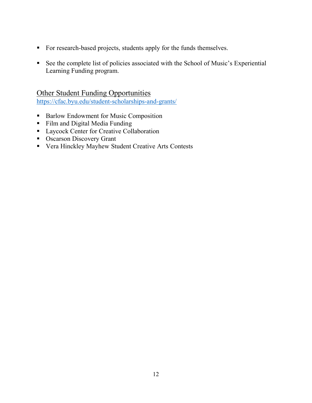- For research-based projects, students apply for the funds themselves.
- See the complete list of policies associated with the School of Music's Experiential Learning Funding program.

Other Student Funding Opportunities <https://cfac.byu.edu/student-scholarships-and-grants/>

- Barlow Endowment for Music Composition
- Film and Digital Media Funding
- **Laycock Center for Creative Collaboration**
- Oscarson Discovery Grant
- **•** Vera Hinckley Mayhew Student Creative Arts Contests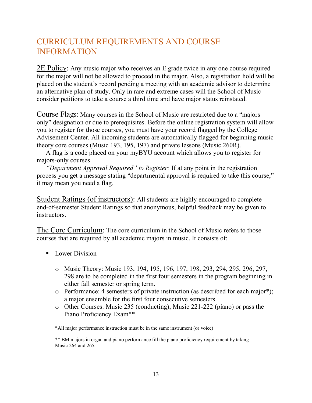# CURRICULUM REQUIREMENTS AND COURSE INFORMATION

2E Policy: Any music major who receives an E grade twice in any one course required for the major will not be allowed to proceed in the major. Also, a registration hold will be placed on the student's record pending a meeting with an academic advisor to determine an alternative plan of study. Only in rare and extreme cases will the School of Music consider petitions to take a course a third time and have major status reinstated.

Course Flags: Many courses in the School of Music are restricted due to a "majors only" designation or due to prerequisites. Before the online registration system will allow you to register for those courses, you must have your record flagged by the College Advisement Center. All incoming students are automatically flagged for beginning music theory core courses (Music 193, 195, 197) and private lessons (Music 260R).

A flag is a code placed on your myBYU account which allows you to register for majors-only courses.

*"Department Approval Required" to Register:* If at any point in the registration process you get a message stating "departmental approval is required to take this course," it may mean you need a flag.

Student Ratings (of instructors): All students are highly encouraged to complete end-of-semester Student Ratings so that anonymous, helpful feedback may be given to instructors.

The Core Curriculum: The core curriculum in the School of Music refers to those courses that are required by all academic majors in music. It consists of:

- **Lower Division** 
	- o Music Theory: Music 193, 194, 195, 196, 197, 198, 293, 294, 295, 296, 297, 298 are to be completed in the first four semesters in the program beginning in either fall semester or spring term.
	- o Performance: 4 semesters of private instruction (as described for each major\*); a major ensemble for the first four consecutive semesters
	- o Other Courses: Music 235 (conducting); Music 221-222 (piano) or pass the Piano Proficiency Exam\*\*

\*All major performance instruction must be in the same instrument (or voice)

\*\* BM majors in organ and piano performance fill the piano proficiency requirement by taking Music 264 and 265.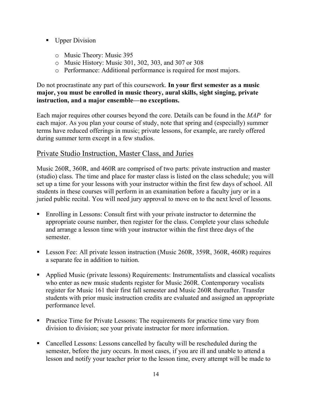- **Upper Division** 
	- o Music Theory: Music 395
	- o Music History: Music 301, 302, 303, and 307 or 308
	- o Performance: Additional performance is required for most majors.

#### Do not procrastinate any part of this coursework. **In your first semester as a music major, you must be enrolled in music theory, aural skills, sight singing, private instruction, and a major ensemble—no exceptions.**

Each major requires other courses beyond the core. Details can be found in the *MAP* for each major. As you plan your course of study, note that spring and (especially) summer terms have reduced offerings in music; private lessons, for example, are rarely offered during summer term except in a few studios.

### Private Studio Instruction, Master Class, and Juries

Music 260R, 360R, and 460R are comprised of two parts: private instruction and master (studio) class. The time and place for master class is listed on the class schedule; you will set up a time for your lessons with your instructor within the first few days of school. All students in these courses will perform in an examination before a faculty jury or in a juried public recital. You will need jury approval to move on to the next level of lessons.

- Enrolling in Lessons: Consult first with your private instructor to determine the appropriate course number, then register for the class. Complete your class schedule and arrange a lesson time with your instructor within the first three days of the semester.
- **-** Lesson Fee: All private lesson instruction (Music 260R, 359R, 360R, 460R) requires a separate fee in addition to tuition.
- Applied Music (private lessons) Requirements: Instrumentalists and classical vocalists who enter as new music students register for Music 260R. Contemporary vocalists register for Music 161 their first fall semester and Music 260R thereafter. Transfer students with prior music instruction credits are evaluated and assigned an appropriate performance level.
- **Practice Time for Private Lessons: The requirements for practice time vary from** division to division; see your private instructor for more information.
- Cancelled Lessons: Lessons cancelled by faculty will be rescheduled during the semester, before the jury occurs. In most cases, if you are ill and unable to attend a lesson and notify your teacher prior to the lesson time, every attempt will be made to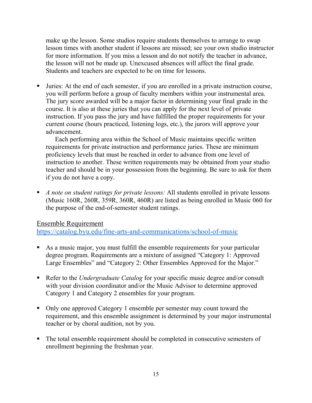make up the lesson. Some studios require students themselves to arrange to swap lesson times with another student if lessons are missed; see your own studio instructor for more information. If you miss a lesson and do not notify the teacher in advance, the lesson will not be made up. Unexcused absences will affect the final grade. Students and teachers are expected to be on time for lessons.

 Juries: At the end of each semester, if you are enrolled in a private instruction course, you will perform before a group of faculty members within your instrumental area. The jury score awarded will be a major factor in determining your final grade in the course. It is also at these juries that you can apply for the next level of private instruction. If you pass the jury and have fulfilled the proper requirements for your current course (hours practiced, listening logs, etc.), the jurors will approve your advancement.

Each performing area within the School of Music maintains specific written requirements for private instruction and performance juries. These are minimum proficiency levels that must be reached in order to advance from one level of instruction to another. These written requirements may be obtained from your studio teacher and should be in your possession from the beginning. Be sure to ask for them if you do not have a copy.

 *A note on student ratings for private lessons:* All students enrolled in private lessons (Music 160R, 260R, 359R, 360R, 460R) are listed as being enrolled in Music 060 for the purpose of the end-of-semester student ratings.

### Ensemble Requirement

<https://catalog.byu.edu/fine-arts-and-communications/school-of-music>

- As a music major, you must fulfill the ensemble requirements for your particular degree program. Requirements are a mixture of assigned "Category 1: Approved Large Ensembles" and "Category 2: Other Ensembles Approved for the Major."
- Refer to the *Undergraduate Catalog* for your specific music degree and/or consult with your division coordinator and/or the Music Advisor to determine approved Category 1 and Category 2 ensembles for your program.
- Only one approved Category 1 ensemble per semester may count toward the requirement, and this ensemble assignment is determined by your major instrumental teacher or by choral audition, not by you.
- The total ensemble requirement should be completed in consecutive semesters of enrollment beginning the freshman year.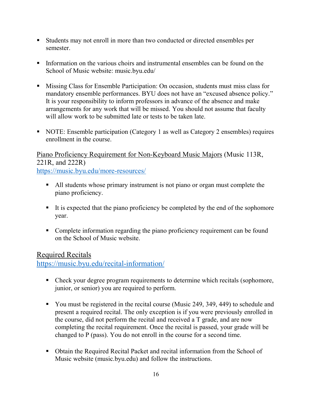- Students may not enroll in more than two conducted or directed ensembles per semester.
- Information on the various choirs and instrumental ensembles can be found on the School of Music website: music.byu.edu/
- Missing Class for Ensemble Participation: On occasion, students must miss class for mandatory ensemble performances. BYU does not have an "excused absence policy." It is your responsibility to inform professors in advance of the absence and make arrangements for any work that will be missed. You should not assume that faculty will allow work to be submitted late or tests to be taken late.
- NOTE: Ensemble participation (Category 1 as well as Category 2 ensembles) requires enrollment in the course.

Piano Proficiency Requirement for Non-Keyboard Music Majors (Music 113R, 221R, and 222R) <https://music.byu.edu/more-resources/>

- All students whose primary instrument is not piano or organ must complete the piano proficiency.
- It is expected that the piano proficiency be completed by the end of the sophomore year.
- Complete information regarding the piano proficiency requirement can be found on the School of Music website.

### Required Recitals

<https://music.byu.edu/recital-information/>

- Check your degree program requirements to determine which recitals (sophomore, junior, or senior) you are required to perform.
- You must be registered in the recital course (Music 249, 349, 449) to schedule and present a required recital. The only exception is if you were previously enrolled in the course, did not perform the recital and received a T grade, and are now completing the recital requirement. Once the recital is passed, your grade will be changed to P (pass). You do not enroll in the course for a second time.
- Obtain the Required Recital Packet and recital information from the School of Music website (music.byu.edu) and follow the instructions.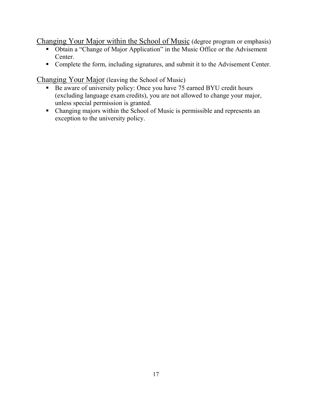Changing Your Major within the School of Music (degree program or emphasis)

- Obtain a "Change of Major Application" in the Music Office or the Advisement Center.
- Complete the form, including signatures, and submit it to the Advisement Center.

Changing Your Major (leaving the School of Music)

- Be aware of university policy: Once you have 75 earned BYU credit hours (excluding language exam credits), you are not allowed to change your major, unless special permission is granted.
- Changing majors within the School of Music is permissible and represents an exception to the university policy.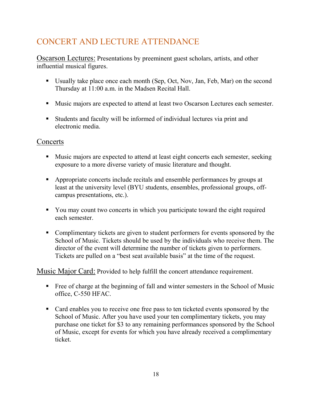# CONCERT AND LECTURE ATTENDANCE

Oscarson Lectures: Presentations by preeminent guest scholars, artists, and other influential musical figures.

- Usually take place once each month (Sep, Oct, Nov, Jan, Feb, Mar) on the second Thursday at 11:00 a.m. in the Madsen Recital Hall.
- Music majors are expected to attend at least two Oscarson Lectures each semester.
- Students and faculty will be informed of individual lectures via print and electronic media.

### **Concerts**

- Music majors are expected to attend at least eight concerts each semester, seeking exposure to a more diverse variety of music literature and thought.
- Appropriate concerts include recitals and ensemble performances by groups at least at the university level (BYU students, ensembles, professional groups, offcampus presentations, etc.).
- You may count two concerts in which you participate toward the eight required each semester.
- Complimentary tickets are given to student performers for events sponsored by the School of Music. Tickets should be used by the individuals who receive them. The director of the event will determine the number of tickets given to performers. Tickets are pulled on a "best seat available basis" at the time of the request.

### Music Major Card: Provided to help fulfill the concert attendance requirement.

- Free of charge at the beginning of fall and winter semesters in the School of Music office, C-550 HFAC.
- Card enables you to receive one free pass to ten ticketed events sponsored by the School of Music. After you have used your ten complimentary tickets, you may purchase one ticket for \$3 to any remaining performances sponsored by the School of Music, except for events for which you have already received a complimentary ticket.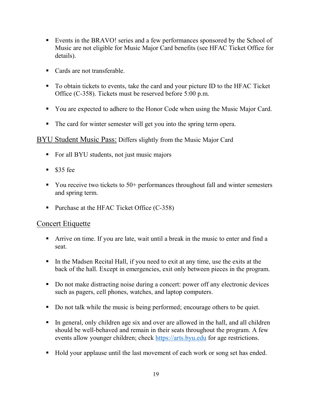- Events in the BRAVO! series and a few performances sponsored by the School of Music are not eligible for Music Major Card benefits (see HFAC Ticket Office for details).
- Cards are not transferable.
- To obtain tickets to events, take the card and your picture ID to the HFAC Ticket Office (C-358). Tickets must be reserved before 5:00 p.m.
- You are expected to adhere to the Honor Code when using the Music Major Card.
- The card for winter semester will get you into the spring term opera.

### BYU Student Music Pass: Differs slightly from the Music Major Card

- For all BYU students, not just music majors
- $\text{S}35 \text{ fee}$
- You receive two tickets to  $50<sup>+</sup>$  performances throughout fall and winter semesters and spring term.
- Purchase at the HFAC Ticket Office (C-358)

### Concert Etiquette

- Arrive on time. If you are late, wait until a break in the music to enter and find a seat.
- In the Madsen Recital Hall, if you need to exit at any time, use the exits at the back of the hall. Except in emergencies, exit only between pieces in the program.
- Do not make distracting noise during a concert: power off any electronic devices such as pagers, cell phones, watches, and laptop computers.
- Do not talk while the music is being performed; encourage others to be quiet.
- In general, only children age six and over are allowed in the hall, and all children should be well-behaved and remain in their seats throughout the program. A few events allow younger children; check [https://arts.byu.edu](https://arts.byu.edu/) for age restrictions.
- Hold your applause until the last movement of each work or song set has ended.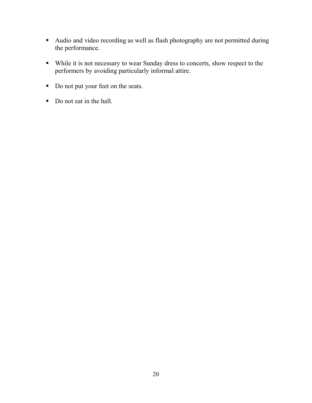- Audio and video recording as well as flash photography are not permitted during the performance.
- While it is not necessary to wear Sunday dress to concerts, show respect to the performers by avoiding particularly informal attire.
- Do not put your feet on the seats.
- Do not eat in the hall.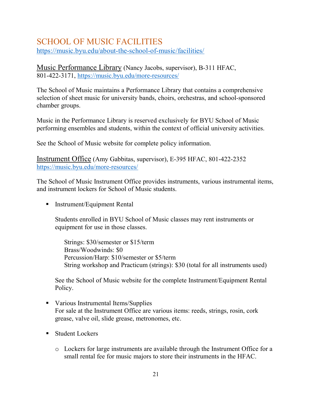# SCHOOL OF MUSIC FACILITIES

<https://music.byu.edu/about-the-school-of-music/facilities/>

Music Performance Library (Nancy Jacobs, supervisor), B-311 HFAC, 801-422-3171,<https://music.byu.edu/more-resources/>

The School of Music maintains a Performance Library that contains a comprehensive selection of sheet music for university bands, choirs, orchestras, and school-sponsored chamber groups.

Music in the Performance Library is reserved exclusively for BYU School of Music performing ensembles and students, within the context of official university activities.

See the School of Music website for complete policy information.

Instrument Office (Amy Gabbitas, supervisor), E-395 HFAC, 801-422-2352 <https://music.byu.edu/more-resources/>

The School of Music Instrument Office provides instruments, various instrumental items, and instrument lockers for School of Music students.

**Instrument/Equipment Rental** 

Students enrolled in BYU School of Music classes may rent instruments or equipment for use in those classes.

Strings: \$30/semester or \$15/term Brass/Woodwinds: \$0 Percussion/Harp: \$10/semester or \$5/term String workshop and Practicum (strings): \$30 (total for all instruments used)

See the School of Music website for the complete Instrument/Equipment Rental Policy.

- Various Instrumental Items/Supplies For sale at the Instrument Office are various items: reeds, strings, rosin, cork grease, valve oil, slide grease, metronomes, etc.
- **Student Lockers** 
	- o Lockers for large instruments are available through the Instrument Office for a small rental fee for music majors to store their instruments in the HFAC.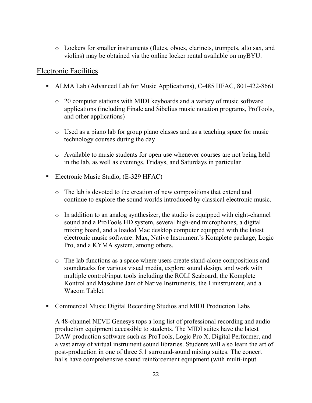o Lockers for smaller instruments (flutes, oboes, clarinets, trumpets, alto sax, and violins) may be obtained via the online locker rental available on myBYU.

### Electronic Facilities

- ALMA Lab (Advanced Lab for Music Applications), C-485 HFAC, 801-422-8661
	- o 20 computer stations with MIDI keyboards and a variety of music software applications (including Finale and Sibelius music notation programs, ProTools, and other applications)
	- o Used as a piano lab for group piano classes and as a teaching space for music technology courses during the day
	- o Available to music students for open use whenever courses are not being held in the lab, as well as evenings, Fridays, and Saturdays in particular
- Electronic Music Studio, (E-329 HFAC)
	- o The lab is devoted to the creation of new compositions that extend and continue to explore the sound worlds introduced by classical electronic music.
	- o In addition to an analog synthesizer, the studio is equipped with eight-channel sound and a ProTools HD system, several high-end microphones, a digital mixing board, and a loaded Mac desktop computer equipped with the latest electronic music software: Max, Native Instrument's Komplete package, Logic Pro, and a KYMA system, among others.
	- o The lab functions as a space where users create stand-alone compositions and soundtracks for various visual media, explore sound design, and work with multiple control/input tools including the ROLI Seaboard, the Komplete Kontrol and Maschine Jam of Native Instruments, the Linnstrument, and a Wacom Tablet.
- Commercial Music Digital Recording Studios and MIDI Production Labs

A 48-channel NEVE Genesys tops a long list of professional recording and audio production equipment accessible to students. The MIDI suites have the latest DAW production software such as ProTools, Logic Pro X, Digital Performer, and a vast array of virtual instrument sound libraries. Students will also learn the art of post-production in one of three 5.1 surround-sound mixing suites. The concert halls have comprehensive sound reinforcement equipment (with multi-input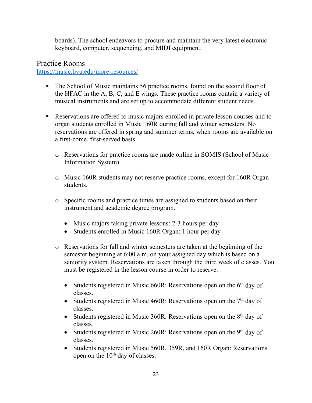boards). The school endeavors to procure and maintain the very latest electronic keyboard, computer, sequencing, and MIDI equipment.

### Practice Rooms

<https://music.byu.edu/more-resources/>

- The School of Music maintains 56 practice rooms, found on the second floor of the HFAC in the A, B, C, and E wings. These practice rooms contain a variety of musical instruments and are set up to accommodate different student needs.
- Reservations are offered to music majors enrolled in private lesson courses and to organ students enrolled in Music 160R during fall and winter semesters. No reservations are offered in spring and summer terms, when rooms are available on a first-come, first-served basis.
	- o Reservations for practice rooms are made online in SOMIS (School of Music Information System).
	- o Music 160R students may not reserve practice rooms, except for 160R Organ students.
	- o Specific rooms and practice times are assigned to students based on their instrument and academic degree program.
		- Music majors taking private lessons: 2-3 hours per day
		- Students enrolled in Music 160R Organ: 1 hour per day
	- o Reservations for fall and winter semesters are taken at the beginning of the semester beginning at 6:00 a.m. on your assigned day which is based on a seniority system. Reservations are taken through the third week of classes. You must be registered in the lesson course in order to reserve.
		- Students registered in Music 660R: Reservations open on the  $6<sup>th</sup>$  day of classes.
		- Students registered in Music 460R: Reservations open on the  $7<sup>th</sup>$  day of classes.
		- Students registered in Music 360R: Reservations open on the 8<sup>th</sup> day of classes.
		- Students registered in Music 260R: Reservations open on the 9<sup>th</sup> day of classes.
		- Students registered in Music 560R, 359R, and 160R Organ: Reservations open on the  $10<sup>th</sup>$  day of classes.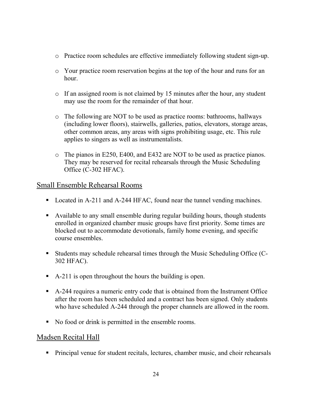- o Practice room schedules are effective immediately following student sign-up.
- o Your practice room reservation begins at the top of the hour and runs for an hour.
- o If an assigned room is not claimed by 15 minutes after the hour, any student may use the room for the remainder of that hour.
- o The following are NOT to be used as practice rooms: bathrooms, hallways (including lower floors), stairwells, galleries, patios, elevators, storage areas, other common areas, any areas with signs prohibiting usage, etc. This rule applies to singers as well as instrumentalists.
- o The pianos in E250, E400, and E432 are NOT to be used as practice pianos. They may be reserved for recital rehearsals through the Music Scheduling Office (C-302 HFAC).

### Small Ensemble Rehearsal Rooms

- Located in A-211 and A-244 HFAC, found near the tunnel vending machines.
- Available to any small ensemble during regular building hours, though students enrolled in organized chamber music groups have first priority. Some times are blocked out to accommodate devotionals, family home evening, and specific course ensembles.
- Students may schedule rehearsal times through the Music Scheduling Office (C-302 HFAC).
- A-211 is open throughout the hours the building is open.
- A-244 requires a numeric entry code that is obtained from the Instrument Office after the room has been scheduled and a contract has been signed. Only students who have scheduled A-244 through the proper channels are allowed in the room.
- No food or drink is permitted in the ensemble rooms.

### Madsen Recital Hall

**Principal venue for student recitals, lectures, chamber music, and choir rehearsals**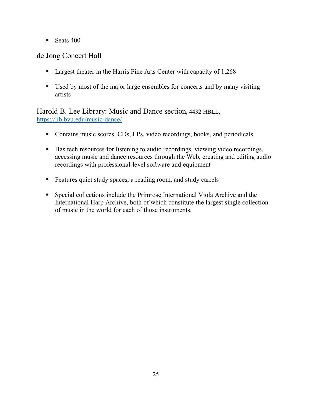Seats  $400$ 

### de Jong Concert Hall

- Largest theater in the Harris Fine Arts Center with capacity of 1,268
- Used by most of the major large ensembles for concerts and by many visiting artists

Harold B. Lee Library: Music and Dance section, 4432 HBLL, <https://lib.byu.edu/music-dance/>

- Contains music scores, CDs, LPs, video recordings, books, and periodicals
- Has tech resources for listening to audio recordings, viewing video recordings, accessing music and dance resources through the Web, creating and editing audio recordings with professional-level software and equipment
- Features quiet study spaces, a reading room, and study carrels
- Special collections include the Primrose International Viola Archive and the International Harp Archive, both of which constitute the largest single collection of music in the world for each of those instruments.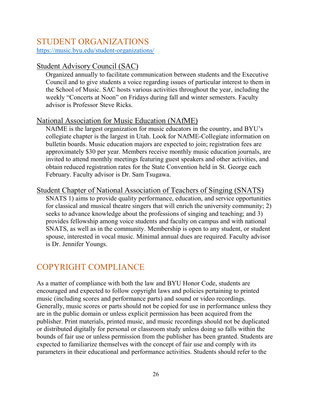### STUDENT ORGANIZATIONS

<https://music.byu.edu/student-organizations/>

### Student Advisory Council (SAC)

Organized annually to facilitate communication between students and the Executive Council and to give students a voice regarding issues of particular interest to them in the School of Music. SAC hosts various activities throughout the year, including the weekly "Concerts at Noon" on Fridays during fall and winter semesters. Faculty advisor is Professor Steve Ricks.

### National Association for Music Education (NAfME)

NAfME is the largest organization for music educators in the country, and BYU's collegiate chapter is the largest in Utah. Look for NAfME-Collegiate information on bulletin boards. Music education majors are expected to join; registration fees are approximately \$30 per year. Members receive monthly music education journals, are invited to attend monthly meetings featuring guest speakers and other activities, and obtain reduced registration rates for the State Convention held in St. George each February. Faculty advisor is Dr. Sam Tsugawa.

### Student Chapter of National Association of Teachers of Singing (SNATS)

SNATS 1) aims to provide quality performance, education, and service opportunities for classical and musical theatre singers that will enrich the university community; 2) seeks to advance knowledge about the professions of singing and teaching; and 3) provides fellowship among voice students and faculty on campus and with national SNATS, as well as in the community. Membership is open to any student, or student spouse, interested in vocal music. Minimal annual dues are required. Faculty advisor is Dr. Jennifer Youngs.

# COPYRIGHT COMPLIANCE

As a matter of compliance with both the law and BYU Honor Code, students are encouraged and expected to follow copyright laws and policies pertaining to printed music (including scores and performance parts) and sound or video recordings. Generally, music scores or parts should not be copied for use in performance unless they are in the public domain or unless explicit permission has been acquired from the publisher. Print materials, printed music, and music recordings should not be duplicated or distributed digitally for personal or classroom study unless doing so falls within the bounds of fair use or unless permission from the publisher has been granted. Students are expected to familiarize themselves with the concept of fair use and comply with its parameters in their educational and performance activities. Students should refer to the